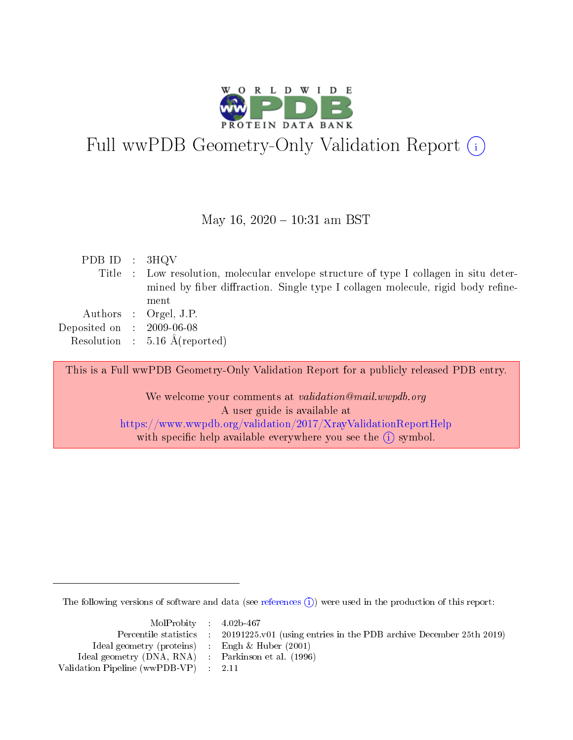

# Full wwPDB Geometry-[O](https://www.wwpdb.org/validation/2017/XrayValidationReportHelp)nly Validation Report  $(i)$

### May 16,  $2020 - 10:31$  am BST

| PDB ID : $3HQV$             |                                                                                        |
|-----------------------------|----------------------------------------------------------------------------------------|
|                             | Title : Low resolution, molecular envelope structure of type I collagen in situ deter- |
|                             | mined by fiber diffraction. Single type I collagen molecule, rigid body refine-        |
|                             | ment                                                                                   |
|                             | Authors : Orgel, J.P.                                                                  |
| Deposited on : $2009-06-08$ |                                                                                        |
|                             | Resolution : $5.16 \text{ Å}$ (reported)                                               |
|                             |                                                                                        |

This is a Full wwPDB Geometry-Only Validation Report for a publicly released PDB entry.

We welcome your comments at validation@mail.wwpdb.org A user guide is available at <https://www.wwpdb.org/validation/2017/XrayValidationReportHelp> with specific help available everywhere you see the  $(i)$  symbol.

The following versions of software and data (see [references](https://www.wwpdb.org/validation/2017/XrayValidationReportHelp#references)  $\hat{I}$ ) were used in the production of this report:

| MolProbity 4.02b-467                                |                                                                        |
|-----------------------------------------------------|------------------------------------------------------------------------|
| Percentile statistics :                             | $20191225$ , v01 (using entries in the PDB archive December 25th 2019) |
| Ideal geometry (proteins)                           | Engh & Huber $(2001)$                                                  |
| Ideal geometry (DNA, RNA) : Parkinson et al. (1996) |                                                                        |
| Validation Pipeline (wwPDB-VP) : 2.11               |                                                                        |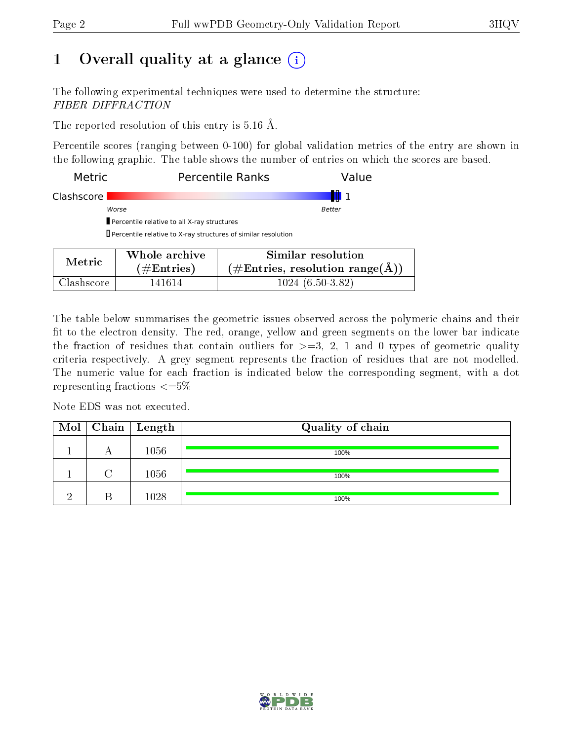## 1 [O](https://www.wwpdb.org/validation/2017/XrayValidationReportHelp#overall_quality)verall quality at a glance  $(i)$

The following experimental techniques were used to determine the structure: FIBER DIFFRACTION

The reported resolution of this entry is 5.16 Å.

Percentile scores (ranging between 0-100) for global validation metrics of the entry are shown in the following graphic. The table shows the number of entries on which the scores are based.

| Metric     |                                                               | <b>Percentile Ranks</b><br>Value                                     |  |  |
|------------|---------------------------------------------------------------|----------------------------------------------------------------------|--|--|
| Clashscore |                                                               |                                                                      |  |  |
|            | Worse                                                         | Better                                                               |  |  |
|            | Percentile relative to all X-ray structures                   |                                                                      |  |  |
|            | Percentile relative to X-ray structures of similar resolution |                                                                      |  |  |
|            | Whole archive                                                 | Similar resolution                                                   |  |  |
| Metric     | $\#\text{Entries}$                                            | $(\#\text{Entries}, \text{ resolution } \text{range}(\textup{\AA}))$ |  |  |

Clashscore 141614 1024 (6.50-3.82)

The table below summarises the geometric issues observed across the polymeric chains and their fit to the electron density. The red, orange, yellow and green segments on the lower bar indicate the fraction of residues that contain outliers for  $\geq =3$ , 2, 1 and 0 types of geometric quality criteria respectively. A grey segment represents the fraction of residues that are not modelled. The numeric value for each fraction is indicated below the corresponding segment, with a dot representing fractions  $\leq=5\%$ 

Note EDS was not executed.

|  | $\boxed{\text{Mol}}$ Chain   Length | Quality of chain |
|--|-------------------------------------|------------------|
|  | 1056                                | 100%             |
|  | 1056                                | 100%             |
|  | 1028                                | 100%             |

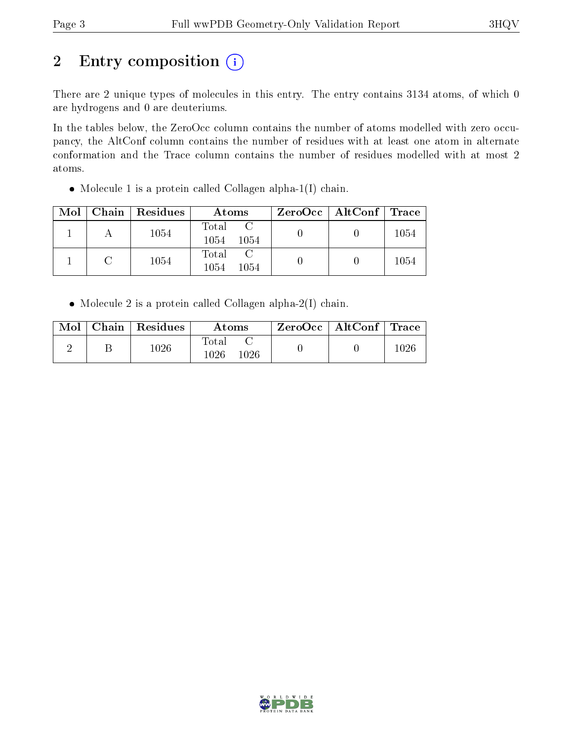# 2 Entry composition (i)

There are 2 unique types of molecules in this entry. The entry contains 3134 atoms, of which 0 are hydrogens and 0 are deuteriums.

In the tables below, the ZeroOcc column contains the number of atoms modelled with zero occupancy, the AltConf column contains the number of residues with at least one atom in alternate conformation and the Trace column contains the number of residues modelled with at most 2 atoms.

Molecule 1 is a protein called Collagen alpha-1(I) chain.

| Mol |               | $\vert$ Chain $\vert$ Residues | Atoms                                  | $ZeroOcc$   AltConf   Trace |      |
|-----|---------------|--------------------------------|----------------------------------------|-----------------------------|------|
|     |               | 1054                           | Total<br>1054<br>-1054                 |                             | 1054 |
|     | $\mathcal{C}$ | 1054                           | $\mathcal{C}$<br>Total<br>1054<br>1054 |                             | 1054 |

Molecule 2 is a protein called Collagen alpha-2(I) chain.

| $\text{Mol}$ | Chain   Residues | Atoms                     | $\text{ZeroOcc} \mid \text{AltConf} \mid \text{Trace}$ |  |
|--------------|------------------|---------------------------|--------------------------------------------------------|--|
|              | $10\,26$         | Total<br>$1026\,$<br>1026 |                                                        |  |

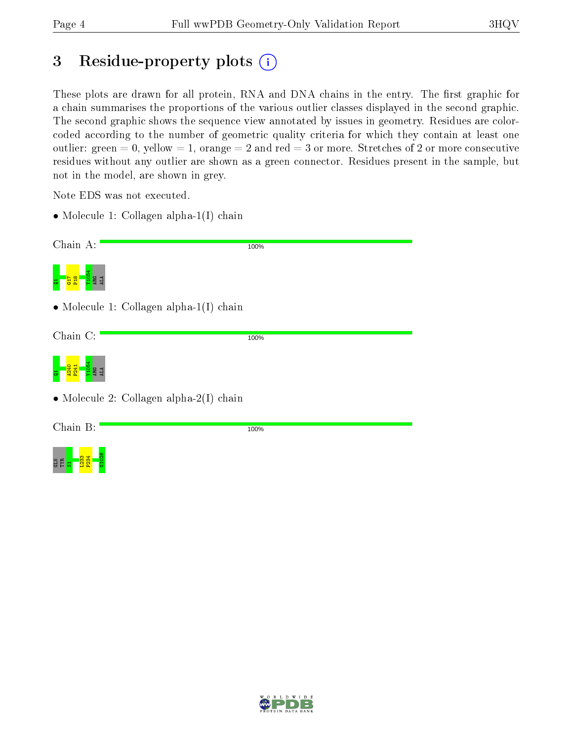ge<mark>l T<sup>83</sup>4</mark><br>Geb

G1026

## 3 Residue-property plots  $(i)$

These plots are drawn for all protein, RNA and DNA chains in the entry. The first graphic for a chain summarises the proportions of the various outlier classes displayed in the second graphic. The second graphic shows the sequence view annotated by issues in geometry. Residues are colorcoded according to the number of geometric quality criteria for which they contain at least one outlier: green  $= 0$ , yellow  $= 1$ , orange  $= 2$  and red  $= 3$  or more. Stretches of 2 or more consecutive residues without any outlier are shown as a green connector. Residues present in the sample, but not in the model, are shown in grey.

Note EDS was not executed.

• Molecule 1: Collagen alpha-1(I) chain

| Chain A:                                        | 100% |
|-------------------------------------------------|------|
| <b>BC</b>                                       |      |
| $\bullet$ Molecule 1: Collagen alpha-1(I) chain |      |
| Chain C:                                        | 100% |
|                                                 |      |
| $\bullet$ Molecule 2: Collagen alpha-2(I) chain |      |
| Chain B:                                        | 100% |
|                                                 |      |

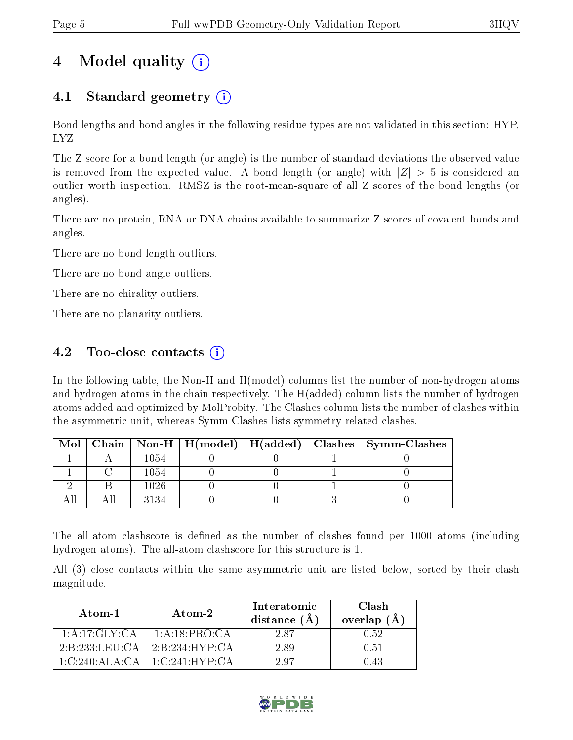# 4 Model quality (i)

## 4.1 Standard geometry (i)

Bond lengths and bond angles in the following residue types are not validated in this section: HYP, LYZ

The Z score for a bond length (or angle) is the number of standard deviations the observed value is removed from the expected value. A bond length (or angle) with  $|Z| > 5$  is considered an outlier worth inspection. RMSZ is the root-mean-square of all Z scores of the bond lengths (or angles).

There are no protein, RNA or DNA chains available to summarize Z scores of covalent bonds and angles.

There are no bond length outliers.

There are no bond angle outliers.

There are no chirality outliers.

There are no planarity outliers.

## 4.2 Too-close contacts  $\overline{()}$

In the following table, the Non-H and H(model) columns list the number of non-hydrogen atoms and hydrogen atoms in the chain respectively. The H(added) column lists the number of hydrogen atoms added and optimized by MolProbity. The Clashes column lists the number of clashes within the asymmetric unit, whereas Symm-Clashes lists symmetry related clashes.

|  |      |  | Mol   Chain   Non-H   H(model)   H(added)   Clashes   Symm-Clashes |
|--|------|--|--------------------------------------------------------------------|
|  | 1054 |  |                                                                    |
|  | 1054 |  |                                                                    |
|  | 1026 |  |                                                                    |
|  | 3134 |  |                                                                    |

The all-atom clashscore is defined as the number of clashes found per 1000 atoms (including hydrogen atoms). The all-atom clashscore for this structure is 1.

All (3) close contacts within the same asymmetric unit are listed below, sorted by their clash magnitude.

| Atom-1                                                 | Atom-2            | Interatomic<br>distance $(\AA)$ | Clash<br>overlap $(A)$ |
|--------------------------------------------------------|-------------------|---------------------------------|------------------------|
| 1:A:17:GLY:CA                                          | 1: A:18:PRO:CA    | 287                             | 0.52                   |
| $2 \cdot B \cdot 233 \cdot I \cdot E \cdot I \cdot CA$ | 2:B:234:HYP:CA    | 2.89                            | 0.51                   |
| $1 \cdot C \cdot 240 \cdot A L A \cdot C A$            | $-1$ C 241 HYP CA | 297                             | በ 43                   |

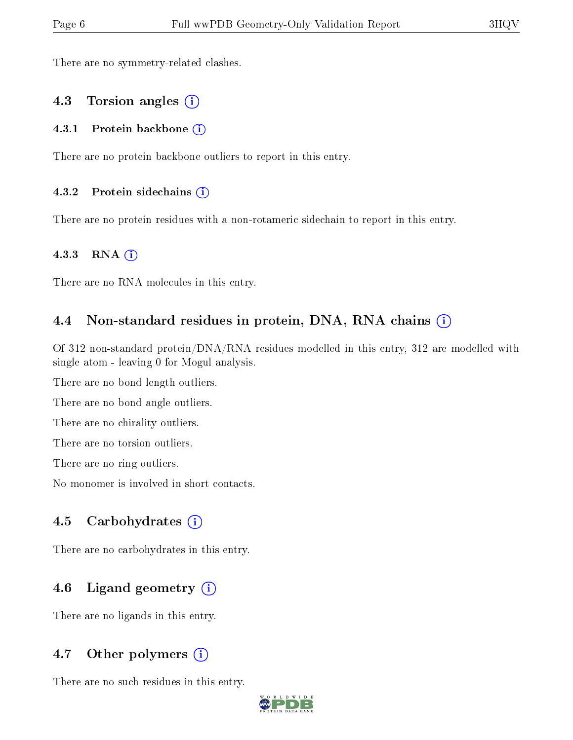There are no symmetry-related clashes.

### 4.3 Torsion angles (i)

#### 4.3.1 Protein backbone (i)

There are no protein backbone outliers to report in this entry.

#### 4.3.2 Protein sidechains  $(i)$

There are no protein residues with a non-rotameric sidechain to report in this entry.

#### 4.3.3 RNA (i)

There are no RNA molecules in this entry.

### 4.4 Non-standard residues in protein, DNA, RNA chains (i)

Of 312 non-standard protein/DNA/RNA residues modelled in this entry, 312 are modelled with single atom - leaving 0 for Mogul analysis.

There are no bond length outliers.

There are no bond angle outliers.

There are no chirality outliers.

There are no torsion outliers.

There are no ring outliers.

No monomer is involved in short contacts.

### 4.5 Carbohydrates  $(i)$

There are no carbohydrates in this entry.

## 4.6 Ligand geometry  $(i)$

There are no ligands in this entry.

### 4.7 [O](https://www.wwpdb.org/validation/2017/XrayValidationReportHelp#nonstandard_residues_and_ligands)ther polymers  $(i)$

There are no such residues in this entry.